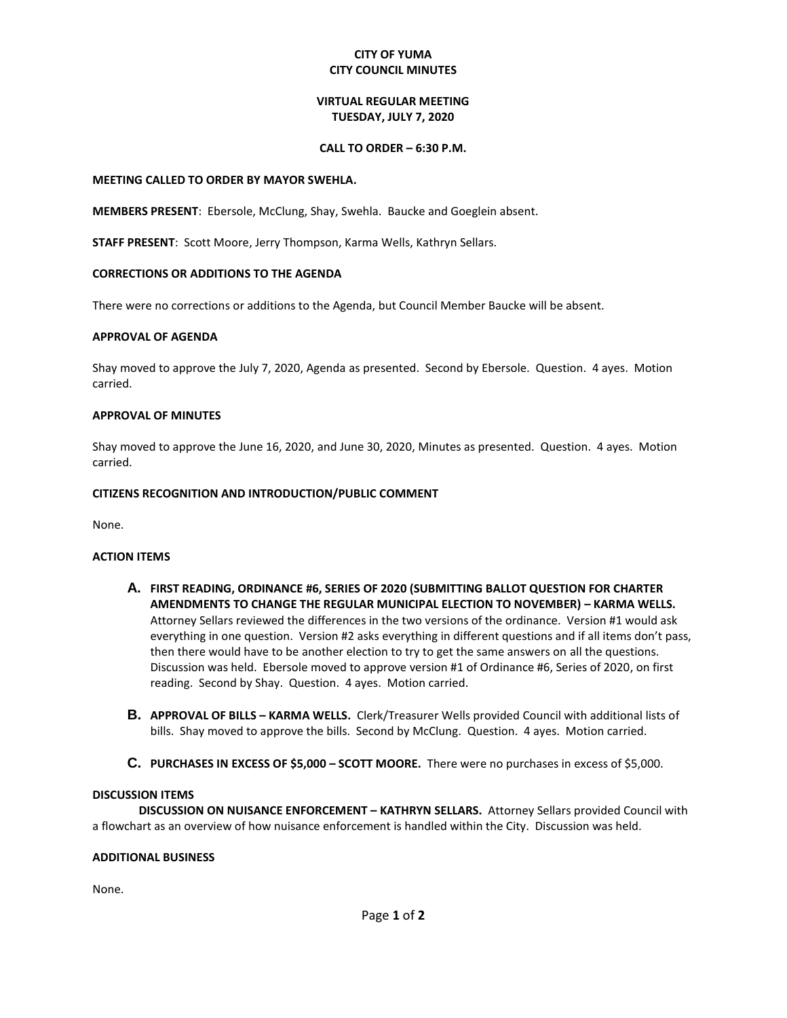# **CITY OF YUMA CITY COUNCIL MINUTES**

# **VIRTUAL REGULAR MEETING TUESDAY, JULY 7, 2020**

#### **CALL TO ORDER – 6:30 P.M.**

#### **MEETING CALLED TO ORDER BY MAYOR SWEHLA.**

**MEMBERS PRESENT**: Ebersole, McClung, Shay, Swehla. Baucke and Goeglein absent.

**STAFF PRESENT**: Scott Moore, Jerry Thompson, Karma Wells, Kathryn Sellars.

## **CORRECTIONS OR ADDITIONS TO THE AGENDA**

There were no corrections or additions to the Agenda, but Council Member Baucke will be absent.

## **APPROVAL OF AGENDA**

Shay moved to approve the July 7, 2020, Agenda as presented. Second by Ebersole. Question. 4 ayes. Motion carried.

## **APPROVAL OF MINUTES**

Shay moved to approve the June 16, 2020, and June 30, 2020, Minutes as presented. Question. 4 ayes. Motion carried.

## **CITIZENS RECOGNITION AND INTRODUCTION/PUBLIC COMMENT**

None.

## **ACTION ITEMS**

- **A. FIRST READING, ORDINANCE #6, SERIES OF 2020 (SUBMITTING BALLOT QUESTION FOR CHARTER AMENDMENTS TO CHANGE THE REGULAR MUNICIPAL ELECTION TO NOVEMBER) – KARMA WELLS.**  Attorney Sellars reviewed the differences in the two versions of the ordinance. Version #1 would ask everything in one question. Version #2 asks everything in different questions and if all items don't pass, then there would have to be another election to try to get the same answers on all the questions. Discussion was held. Ebersole moved to approve version #1 of Ordinance #6, Series of 2020, on first reading. Second by Shay. Question. 4 ayes. Motion carried.
- **B. APPROVAL OF BILLS – KARMA WELLS.** Clerk/Treasurer Wells provided Council with additional lists of bills. Shay moved to approve the bills. Second by McClung. Question. 4 ayes. Motion carried.
- **C. PURCHASES IN EXCESS OF \$5,000 – SCOTT MOORE.** There were no purchases in excess of \$5,000.

#### **DISCUSSION ITEMS**

**DISCUSSION ON NUISANCE ENFORCEMENT – KATHRYN SELLARS.** Attorney Sellars provided Council with a flowchart as an overview of how nuisance enforcement is handled within the City. Discussion was held.

#### **ADDITIONAL BUSINESS**

None.